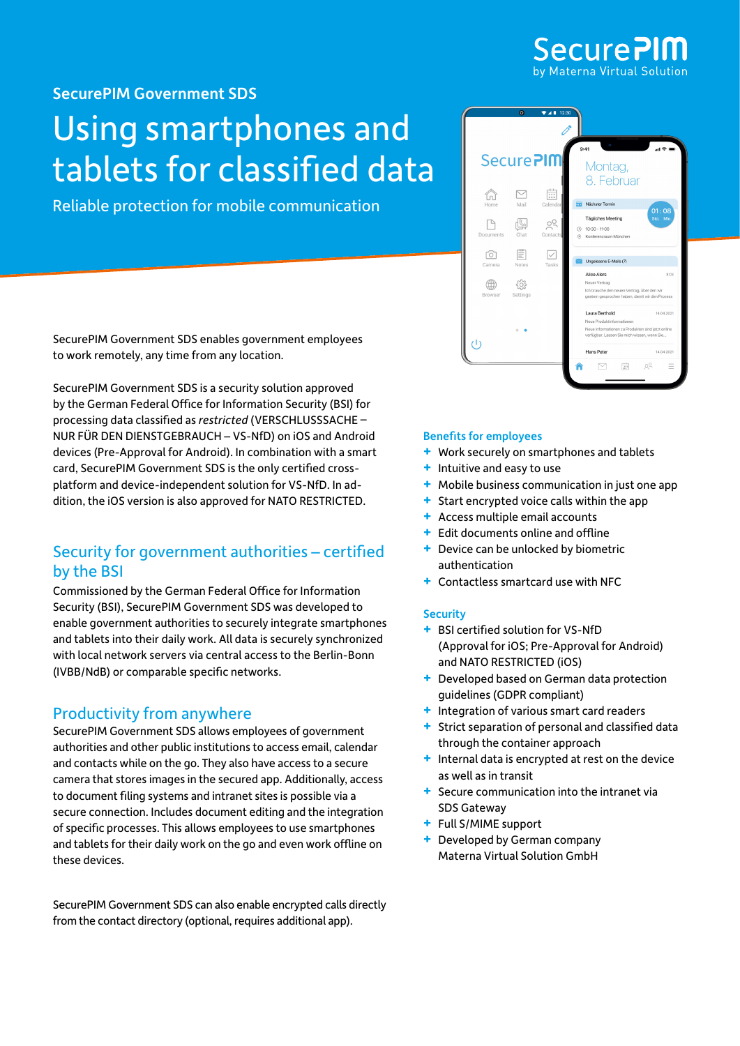

[SecurePIM Government](https://www.virtual-solution.com/securepim-government-sds/) SDS

# Using smartphones and tablets for classified data

Reliable protection for mobile communication

SecurePIM Government SDS enables government employees to work remotely, any time from any location.

SecurePIM Government SDS is a security solution approved by the German Federal Office for Information Security (BSI) for processing data classified as *restricted* (VERSCHLUSSSACHE – NUR FÜR DEN DIENSTGEBRAUCH – VS-NfD) on iOS and Android devices (Pre-Approval for Android). In combination with a smart card, SecurePIM Government SDS is the only certified crossplatform and device-independent solution for VS-NfD. In addition, the iOS version is also approved for NATO RESTRICTED.

# Security for government authorities – certified by the BSI

Commissioned by the German Federal Office for Information Security (BSI), SecurePIM Government SDS was developed to enable government authorities to securely integrate smartphones and tablets into their daily work. All data is securely synchronized with local network servers via central access to the Berlin-Bonn (IVBB/NdB) or comparable specific networks.

## Productivity from anywhere

SecurePIM Government SDS allows employees of government authorities and other public institutions to access email, calendar and contacts while on the go. They also have access to a secure camera that stores images in the secured app. Additionally, access to document filing systems and intranet sites is possible via a secure connection. Includes document editing and the integration of specific processes. This allows employees to use smartphones and tablets for their daily work on the go and even work offline on these devices.

SecurePIM Government SDS can also enable encrypted calls directly from the contact directory (optional, requires additional app).



## Benefits for employees

- **+** Work securely on smartphones and tablets
- **+** Intuitive and easy to use
- **+** Mobile business communication in just one app
- **+** Start encrypted voice calls within the app
- **+** Access multiple email accounts
- **+** Edit documents online and offline
- **+** Device can be unlocked by biometric authentication
- **+** Contactless smartcard use with NFC

## **Security**

- **+** BSI certified solution for VS-NfD (Approval for iOS; Pre-Approval for Android) and NATO RESTRICTED (iOS)
- **+** Developed based on German data protection guidelines (GDPR compliant)
- **+** Integration of various smart card readers
- **+** Strict separation of personal and classified data through the container approach
- **+** Internal data is encrypted at rest on the device as well as in transit
- **+** Secure communication into the intranet via SDS Gateway
- **+** Full S/MIME support
- **+** Developed by German company Materna Virtual Solution GmbH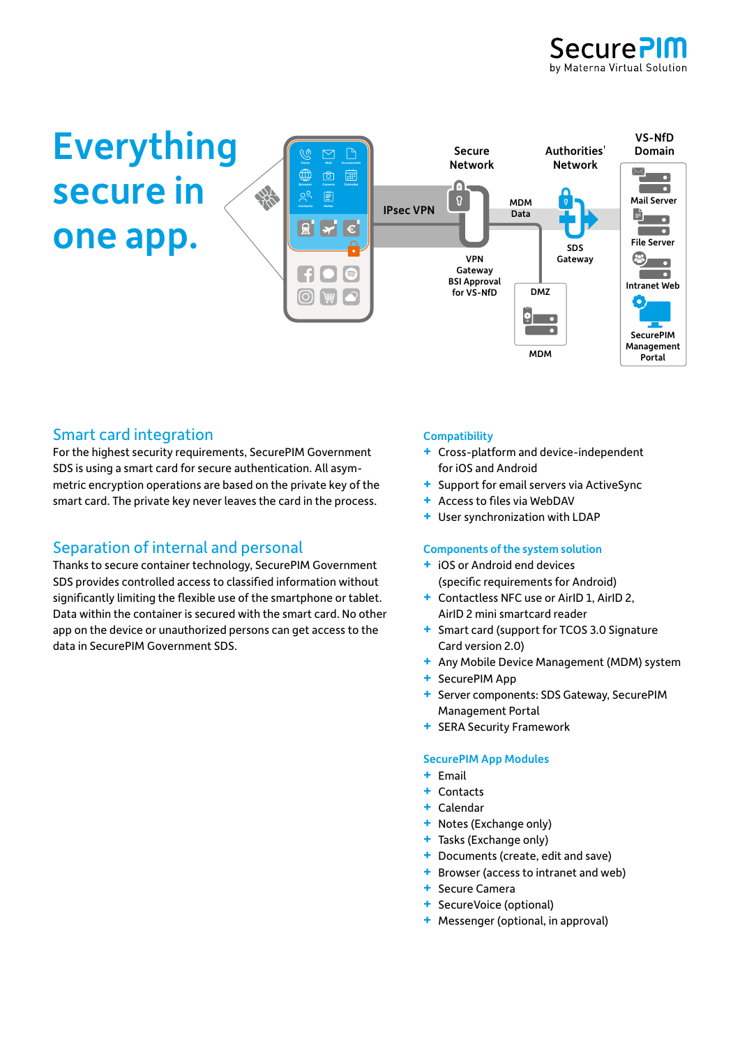



## Smart card integration

For the highest security requirements, SecurePIM Government SDS is using a smart card for secure authentication. All asymmetric encryption operations are based on the private key of the smart card. The private key never leaves the card in the process.

## Separation of internal and personal

Thanks to secure container technology, SecurePIM Government SDS provides controlled access to classified information without significantly limiting the flexible use of the smartphone or tablet. Data within the container is secured with the smart card. No other app on the device or unauthorized persons can get access to the data in SecurePIM Government SDS.

#### **Compatibility**

- **+** Cross-platform and device-independent for iOS and Android
- **+** Support for email servers via ActiveSync
- **+** Access to files via WebDAV
- **+** User synchronization with LDAP

#### Components of the system solution

- **+** iOS or Android end devices (specific requirements for Android)
- **+** Contactless NFC use or AirID 1, AirID 2, AirID 2 mini smartcard reader
- **+** Smart card (support for TCOS 3.0 Signature Card version 2.0)
- **+** Any Mobile Device Management (MDM) system
- **+** SecurePIM App
- **+** Server components: SDS Gateway, SecurePIM Management Portal
- **+** SERA Security Framework

#### SecurePIM App Modules

- **+** Email
- **+** Contacts
- **+** Calendar
- **+** Notes (Exchange only)
- **+** Tasks (Exchange only)
- **+** Documents (create, edit and save)
- **+** Browser (access to intranet and web)
- **+** Secure Camera
- **+** SecureVoice (optional)
- **+** Messenger (optional, in approval)